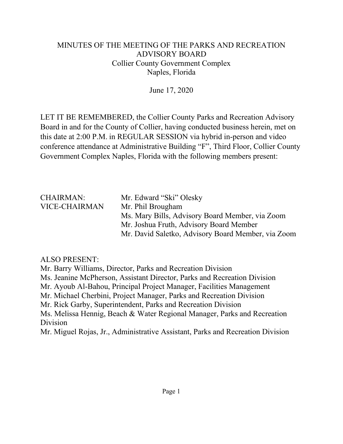## MINUTES OF THE MEETING OF THE PARKS AND RECREATION ADVISORY BOARD Collier County Government Complex Naples, Florida

June 17, 2020

LET IT BE REMEMBERED, the Collier County Parks and Recreation Advisory Board in and for the County of Collier, having conducted business herein, met on this date at 2:00 P.M. in REGULAR SESSION via hybrid in-person and video conference attendance at Administrative Building "F", Third Floor, Collier County Government Complex Naples, Florida with the following members present:

| <b>CHAIRMAN:</b>     | Mr. Edward "Ski" Olesky                            |
|----------------------|----------------------------------------------------|
| <b>VICE-CHAIRMAN</b> | Mr. Phil Brougham                                  |
|                      | Ms. Mary Bills, Advisory Board Member, via Zoom    |
|                      | Mr. Joshua Fruth, Advisory Board Member            |
|                      | Mr. David Saletko, Advisory Board Member, via Zoom |

## ALSO PRESENT:

Mr. Barry Williams, Director, Parks and Recreation Division Ms. Jeanine McPherson, Assistant Director, Parks and Recreation Division Mr. Ayoub Al-Bahou, Principal Project Manager, Facilities Management Mr. Michael Cherbini, Project Manager, Parks and Recreation Division Mr. Rick Garby, Superintendent, Parks and Recreation Division Ms. Melissa Hennig, Beach & Water Regional Manager, Parks and Recreation Division Mr. Miguel Rojas, Jr., Administrative Assistant, Parks and Recreation Division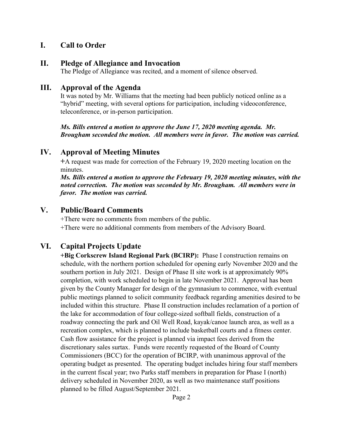#### **I. Call to Order**

#### **II. Pledge of Allegiance and Invocation**

The Pledge of Allegiance was recited, and a moment of silence observed.

#### **III. Approval of the Agenda**

It was noted by Mr. Williams that the meeting had been publicly noticed online as a "hybrid" meeting, with several options for participation, including videoconference, teleconference, or in-person participation.

*Ms. Bills entered a motion to approve the June 17, 2020 meeting agenda. Mr. Brougham seconded the motion. All members were in favor. The motion was carried.* 

#### **IV. Approval of Meeting Minutes**

**+**A request was made for correction of the February 19, 2020 meeting location on the minutes.

*Ms. Bills entered a motion to approve the February 19, 2020 meeting minutes, with the noted correction. The motion was seconded by Mr. Brougham. All members were in favor. The motion was carried.* 

#### **V. Public/Board Comments**

+There were no comments from members of the public. +There were no additional comments from members of the Advisory Board.

## **VI. Capital Projects Update**

**+Big Corkscrew Island Regional Park (BCIRP):** Phase I construction remains on schedule, with the northern portion scheduled for opening early November 2020 and the southern portion in July 2021. Design of Phase II site work is at approximately 90% completion, with work scheduled to begin in late November 2021. Approval has been given by the County Manager for design of the gymnasium to commence, with eventual public meetings planned to solicit community feedback regarding amenities desired to be included within this structure. Phase II construction includes reclamation of a portion of the lake for accommodation of four college-sized softball fields, construction of a roadway connecting the park and Oil Well Road, kayak/canoe launch area, as well as a recreation complex, which is planned to include basketball courts and a fitness center. Cash flow assistance for the project is planned via impact fees derived from the discretionary sales surtax. Funds were recently requested of the Board of County Commissioners (BCC) for the operation of BCIRP, with unanimous approval of the operating budget as presented. The operating budget includes hiring four staff members in the current fiscal year; two Parks staff members in preparation for Phase I (north) delivery scheduled in November 2020, as well as two maintenance staff positions planned to be filled August/September 2021.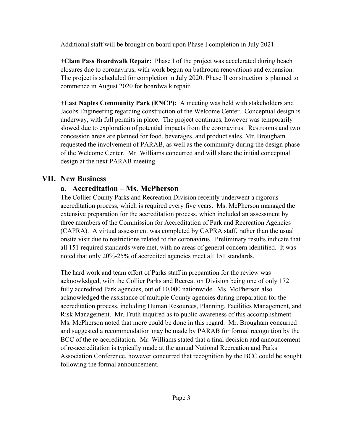Additional staff will be brought on board upon Phase I completion in July 2021.

**+Clam Pass Boardwalk Repair:** Phase I of the project was accelerated during beach closures due to coronavirus, with work begun on bathroom renovations and expansion. The project is scheduled for completion in July 2020. Phase II construction is planned to commence in August 2020 for boardwalk repair.

**+East Naples Community Park (ENCP):** A meeting was held with stakeholders and Jacobs Engineering regarding construction of the Welcome Center. Conceptual design is underway, with full permits in place. The project continues, however was temporarily slowed due to exploration of potential impacts from the coronavirus. Restrooms and two concession areas are planned for food, beverages, and product sales. Mr. Brougham requested the involvement of PARAB, as well as the community during the design phase of the Welcome Center. Mr. Williams concurred and will share the initial conceptual design at the next PARAB meeting.

## **VII. New Business**

## **a. Accreditation – Ms. McPherson**

The Collier County Parks and Recreation Division recently underwent a rigorous accreditation process, which is required every five years. Ms. McPherson managed the extensive preparation for the accreditation process, which included an assessment by three members of the Commission for Accreditation of Park and Recreation Agencies (CAPRA). A virtual assessment was completed by CAPRA staff, rather than the usual onsite visit due to restrictions related to the coronavirus. Preliminary results indicate that all 151 required standards were met, with no areas of general concern identified. It was noted that only 20%-25% of accredited agencies meet all 151 standards.

The hard work and team effort of Parks staff in preparation for the review was acknowledged, with the Collier Parks and Recreation Division being one of only 172 fully accredited Park agencies, out of 10,000 nationwide. Ms. McPherson also acknowledged the assistance of multiple County agencies during preparation for the accreditation process, including Human Resources, Planning, Facilities Management, and Risk Management. Mr. Fruth inquired as to public awareness of this accomplishment. Ms. McPherson noted that more could be done in this regard. Mr. Brougham concurred and suggested a recommendation may be made by PARAB for formal recognition by the BCC of the re-accreditation. Mr. Williams stated that a final decision and announcement of re-accreditation is typically made at the annual National Recreation and Parks Association Conference, however concurred that recognition by the BCC could be sought following the formal announcement.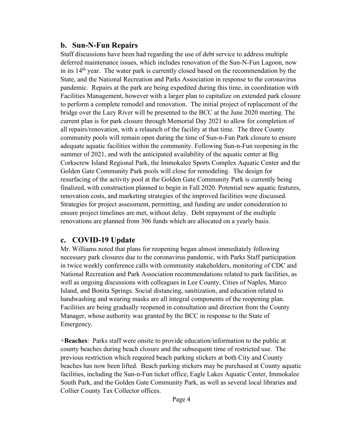#### **b. Sun-N-Fun Repairs**

Staff discussions have been had regarding the use of debt service to address multiple deferred maintenance issues, which includes renovation of the Sun-N-Fun Lagoon, now in its  $14<sup>th</sup>$  year. The water park is currently closed based on the recommendation by the State, and the National Recreation and Parks Association in response to the coronavirus pandemic. Repairs at the park are being expedited during this time, in coordination with Facilities Management, however with a larger plan to capitalize on extended park closure to perform a complete remodel and renovation. The initial project of replacement of the bridge over the Lazy River will be presented to the BCC at the June 2020 meeting. The current plan is for park closure through Memorial Day 2021 to allow for completion of all repairs/renovation, with a relaunch of the facility at that time. The three County community pools will remain open during the time of Sun-n-Fun Park closure to ensure adequate aquatic facilities within the community. Following Sun-n-Fun reopening in the summer of 2021, and with the anticipated availability of the aquatic center at Big Corkscrew Island Regional Park, the Immokalee Sports Complex Aquatic Center and the Golden Gate Community Park pools will close for remodeling. The design for resurfacing of the activity pool at the Golden Gate Community Park is currently being finalized, with construction planned to begin in Fall 2020. Potential new aquatic features, renovation costs, and marketing strategies of the improved facilities were discussed. Strategies for project assessment, permitting, and funding are under consideration to ensure project timelines are met, without delay. Debt repayment of the multiple renovations are planned from 306 funds which are allocated on a yearly basis.

## **c. COVID-19 Update**

Mr. Williams noted that plans for reopening began almost immediately following necessary park closures due to the coronavirus pandemic, with Parks Staff participation in twice weekly conference calls with community stakeholders, monitoring of CDC and National Recreation and Park Association recommendations related to park facilities, as well as ongoing discussions with colleagues in Lee County, Cities of Naples, Marco Island, and Bonita Springs. Social distancing, sanitization, and education related to handwashing and wearing masks are all integral components of the reopening plan. Facilities are being gradually reopened in consultation and direction from the County Manager, whose authority was granted by the BCC in response to the State of Emergency.

+**Beaches**: Parks staff were onsite to provide education/information to the public at county beaches during beach closure and the subsequent time of restricted use. The previous restriction which required beach parking stickers at both City and County beaches has now been lifted. Beach parking stickers may be purchased at County aquatic facilities, including the Sun-n-Fun ticket office, Eagle Lakes Aquatic Center, Immokalee South Park, and the Golden Gate Community Park, as well as several local libraries and Collier County Tax Collector offices.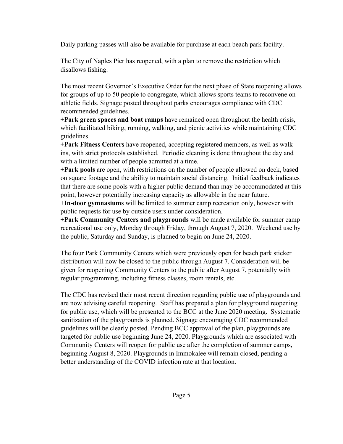Daily parking passes will also be available for purchase at each beach park facility.

The City of Naples Pier has reopened, with a plan to remove the restriction which disallows fishing.

The most recent Governor's Executive Order for the next phase of State reopening allows for groups of up to 50 people to congregate, which allows sports teams to reconvene on athletic fields. Signage posted throughout parks encourages compliance with CDC recommended guidelines.

+**Park green spaces and boat ramps** have remained open throughout the health crisis, which facilitated biking, running, walking, and picnic activities while maintaining CDC guidelines.

+**Park Fitness Centers** have reopened, accepting registered members, as well as walkins, with strict protocols established. Periodic cleaning is done throughout the day and with a limited number of people admitted at a time.

+**Park pools** are open, with restrictions on the number of people allowed on deck, based on square footage and the ability to maintain social distancing. Initial feedback indicates that there are some pools with a higher public demand than may be accommodated at this point, however potentially increasing capacity as allowable in the near future.

+**In-door gymnasiums** will be limited to summer camp recreation only, however with public requests for use by outside users under consideration.

+**Park Community Centers and playgrounds** will be made available for summer camp recreational use only, Monday through Friday, through August 7, 2020. Weekend use by the public, Saturday and Sunday, is planned to begin on June 24, 2020.

The four Park Community Centers which were previously open for beach park sticker distribution will now be closed to the public through August 7. Consideration will be given for reopening Community Centers to the public after August 7, potentially with regular programming, including fitness classes, room rentals, etc.

The CDC has revised their most recent direction regarding public use of playgrounds and are now advising careful reopening. Staff has prepared a plan for playground reopening for public use, which will be presented to the BCC at the June 2020 meeting. Systematic sanitization of the playgrounds is planned. Signage encouraging CDC recommended guidelines will be clearly posted. Pending BCC approval of the plan, playgrounds are targeted for public use beginning June 24, 2020. Playgrounds which are associated with Community Centers will reopen for public use after the completion of summer camps, beginning August 8, 2020. Playgrounds in Immokalee will remain closed, pending a better understanding of the COVID infection rate at that location.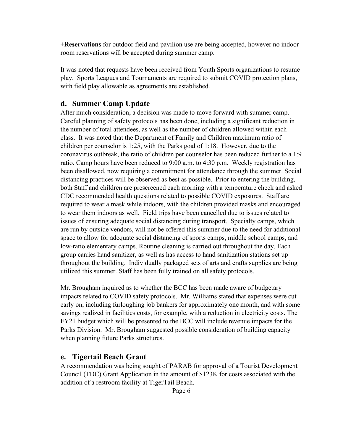+**Reservations** for outdoor field and pavilion use are being accepted, however no indoor room reservations will be accepted during summer camp.

It was noted that requests have been received from Youth Sports organizations to resume play. Sports Leagues and Tournaments are required to submit COVID protection plans, with field play allowable as agreements are established.

#### **d. Summer Camp Update**

After much consideration, a decision was made to move forward with summer camp. Careful planning of safety protocols has been done, including a significant reduction in the number of total attendees, as well as the number of children allowed within each class. It was noted that the Department of Family and Children maximum ratio of children per counselor is 1:25, with the Parks goal of 1:18. However, due to the coronavirus outbreak, the ratio of children per counselor has been reduced further to a 1:9 ratio. Camp hours have been reduced to 9:00 a.m. to 4:30 p.m. Weekly registration has been disallowed, now requiring a commitment for attendance through the summer. Social distancing practices will be observed as best as possible. Prior to entering the building, both Staff and children are prescreened each morning with a temperature check and asked CDC recommended health questions related to possible COVID exposures. Staff are required to wear a mask while indoors, with the children provided masks and encouraged to wear them indoors as well. Field trips have been cancelled due to issues related to issues of ensuring adequate social distancing during transport. Specialty camps, which are run by outside vendors, will not be offered this summer due to the need for additional space to allow for adequate social distancing of sports camps, middle school camps, and low-ratio elementary camps. Routine cleaning is carried out throughout the day. Each group carries hand sanitizer, as well as has access to hand sanitization stations set up throughout the building. Individually packaged sets of arts and crafts supplies are being utilized this summer. Staff has been fully trained on all safety protocols.

Mr. Brougham inquired as to whether the BCC has been made aware of budgetary impacts related to COVID safety protocols. Mr. Williams stated that expenses were cut early on, including furloughing job bankers for approximately one month, and with some savings realized in facilities costs, for example, with a reduction in electricity costs. The FY21 budget which will be presented to the BCC will include revenue impacts for the Parks Division. Mr. Brougham suggested possible consideration of building capacity when planning future Parks structures.

#### **e. Tigertail Beach Grant**

A recommendation was being sought of PARAB for approval of a Tourist Development Council (TDC) Grant Application in the amount of \$123K for costs associated with the addition of a restroom facility at TigerTail Beach.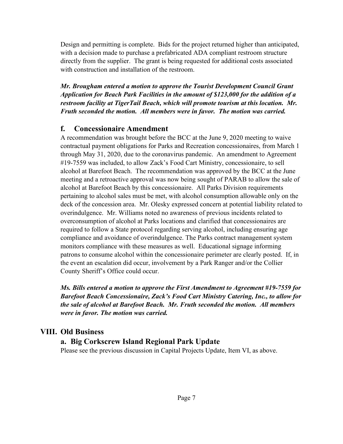Design and permitting is complete. Bids for the project returned higher than anticipated, with a decision made to purchase a prefabricated ADA compliant restroom structure directly from the supplier. The grant is being requested for additional costs associated with construction and installation of the restroom.

*Mr. Brougham entered a motion to approve the Tourist Development Council Grant Application for Beach Park Facilities in the amount of \$123,000 for the addition of a restroom facility at TigerTail Beach, which will promote tourism at this location. Mr. Fruth seconded the motion. All members were in favor. The motion was carried.* 

## **f. Concessionaire Amendment**

A recommendation was brought before the BCC at the June 9, 2020 meeting to waive contractual payment obligations for Parks and Recreation concessionaires, from March 1 through May 31, 2020, due to the coronavirus pandemic. An amendment to Agreement #19-7559 was included, to allow Zack's Food Cart Ministry, concessionaire, to sell alcohol at Barefoot Beach. The recommendation was approved by the BCC at the June meeting and a retroactive approval was now being sought of PARAB to allow the sale of alcohol at Barefoot Beach by this concessionaire. All Parks Division requirements pertaining to alcohol sales must be met, with alcohol consumption allowable only on the deck of the concession area. Mr. Olesky expressed concern at potential liability related to overindulgence. Mr. Williams noted no awareness of previous incidents related to overconsumption of alcohol at Parks locations and clarified that concessionaires are required to follow a State protocol regarding serving alcohol, including ensuring age compliance and avoidance of overindulgence. The Parks contract management system monitors compliance with these measures as well. Educational signage informing patrons to consume alcohol within the concessionaire perimeter are clearly posted. If, in the event an escalation did occur, involvement by a Park Ranger and/or the Collier County Sheriff's Office could occur.

*Ms. Bills entered a motion to approve the First Amendment to Agreement #19-7559 for Barefoot Beach Concessionaire, Zack's Food Cart Ministry Catering, Inc., to allow for the sale of alcohol at Barefoot Beach. Mr. Fruth seconded the motion. All members were in favor. The motion was carried.* 

#### **VIII. Old Business**

#### **a. Big Corkscrew Island Regional Park Update**

Please see the previous discussion in Capital Projects Update, Item VI, as above.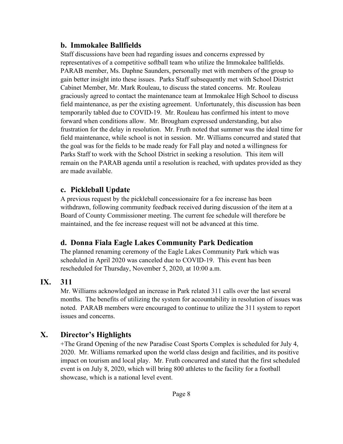#### **b. Immokalee Ballfields**

Staff discussions have been had regarding issues and concerns expressed by representatives of a competitive softball team who utilize the Immokalee ballfields. PARAB member, Ms. Daphne Saunders, personally met with members of the group to gain better insight into these issues. Parks Staff subsequently met with School District Cabinet Member, Mr. Mark Rouleau, to discuss the stated concerns. Mr. Rouleau graciously agreed to contact the maintenance team at Immokalee High School to discuss field maintenance, as per the existing agreement. Unfortunately, this discussion has been temporarily tabled due to COVID-19. Mr. Rouleau has confirmed his intent to move forward when conditions allow. Mr. Brougham expressed understanding, but also frustration for the delay in resolution. Mr. Fruth noted that summer was the ideal time for field maintenance, while school is not in session. Mr. Williams concurred and stated that the goal was for the fields to be made ready for Fall play and noted a willingness for Parks Staff to work with the School District in seeking a resolution. This item will remain on the PARAB agenda until a resolution is reached, with updates provided as they are made available.

#### **c. Pickleball Update**

A previous request by the pickleball concessionaire for a fee increase has been withdrawn, following community feedback received during discussion of the item at a Board of County Commissioner meeting. The current fee schedule will therefore be maintained, and the fee increase request will not be advanced at this time.

## **d. Donna Fiala Eagle Lakes Community Park Dedication**

The planned renaming ceremony of the Eagle Lakes Community Park which was scheduled in April 2020 was canceled due to COVID-19. This event has been rescheduled for Thursday, November 5, 2020, at 10:00 a.m.

## **IX. 311**

Mr. Williams acknowledged an increase in Park related 311 calls over the last several months. The benefits of utilizing the system for accountability in resolution of issues was noted. PARAB members were encouraged to continue to utilize the 311 system to report issues and concerns.

# **X. Director's Highlights**

+The Grand Opening of the new Paradise Coast Sports Complex is scheduled for July 4, 2020. Mr. Williams remarked upon the world class design and facilities, and its positive impact on tourism and local play. Mr. Fruth concurred and stated that the first scheduled event is on July 8, 2020, which will bring 800 athletes to the facility for a football showcase, which is a national level event.